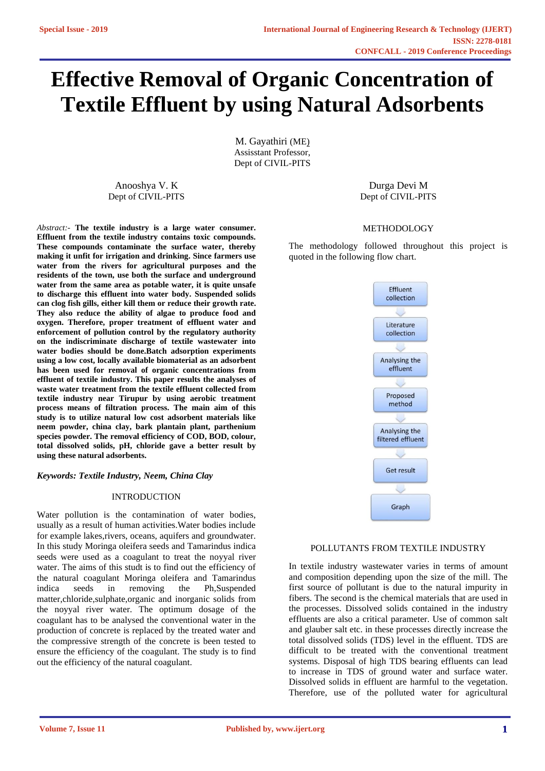# **Effective Removal of Organic Concentration of Textile Effluent by using Natural Adsorbents**

M. Gayathiri (ME) Assisstant Professor, Dept of CIVIL-PITS

Anooshya V. K Dept of CIVIL-PITS

*Abstract:-* **The textile industry is a large water consumer. Effluent from the textile industry contains toxic compounds. These compounds contaminate the surface water, thereby making it unfit for irrigation and drinking. Since farmers use water from the rivers for agricultural purposes and the residents of the town, use both the surface and underground water from the same area as potable water, it is quite unsafe to discharge this effluent into water body. Suspended solids can clog fish gills, either kill them or reduce their growth rate. They also reduce the ability of algae to produce food and oxygen. Therefore, proper treatment of effluent water and enforcement of pollution control by the regulatory authority on the indiscriminate discharge of textile wastewater into water bodies should be done.Batch adsorption experiments using a low cost, locally available biomaterial as an adsorbent has been used for removal of organic concentrations from effluent of textile industry. This paper results the analyses of waste water treatment from the textile effluent collected from textile industry near Tirupur by using aerobic treatment process means of filtration process. The main aim of this study is to utilize natural low cost adsorbent materials like neem powder, china clay, bark plantain plant, parthenium species powder. The removal efficiency of COD, BOD, colour, total dissolved solids, pH, chloride gave a better result by using these natural adsorbents.**

*Keywords: Textile Industry, Neem, China Clay*

# INTRODUCTION

Water pollution is the contamination of water bodies, usually as a result of human activities.Water bodies include for example lakes,rivers, oceans, aquifers and groundwater. In this study Moringa oleifera seeds and Tamarindus indica seeds were used as a coagulant to treat the noyyal river water. The aims of this studt is to find out the efficiency of the natural coagulant Moringa oleifera and Tamarindus indica seeds in removing the Ph,Suspended matter,chloride,sulphate,organic and inorganic solids from the noyyal river water. The optimum dosage of the coagulant has to be analysed the conventional water in the production of concrete is replaced by the treated water and the compressive strength of the concrete is been tested to ensure the efficiency of the coagulant. The study is to find out the efficiency of the natural coagulant.

Durga Devi M Dept of CIVIL-PITS

#### METHODOLOGY

The methodology followed throughout this project is quoted in the following flow chart.



### POLLUTANTS FROM TEXTILE INDUSTRY

In textile industry wastewater varies in terms of amount and composition depending upon the size of the mill. The first source of pollutant is due to the natural impurity in fibers. The second is the chemical materials that are used in the processes. Dissolved solids contained in the industry effluents are also a critical parameter. Use of common salt and glauber salt etc. in these processes directly increase the total dissolved solids (TDS) level in the effluent. TDS are difficult to be treated with the conventional treatment systems. Disposal of high TDS bearing effluents can lead to increase in TDS of ground water and surface water. Dissolved solids in effluent are harmful to the vegetation. Therefore, use of the polluted water for agricultural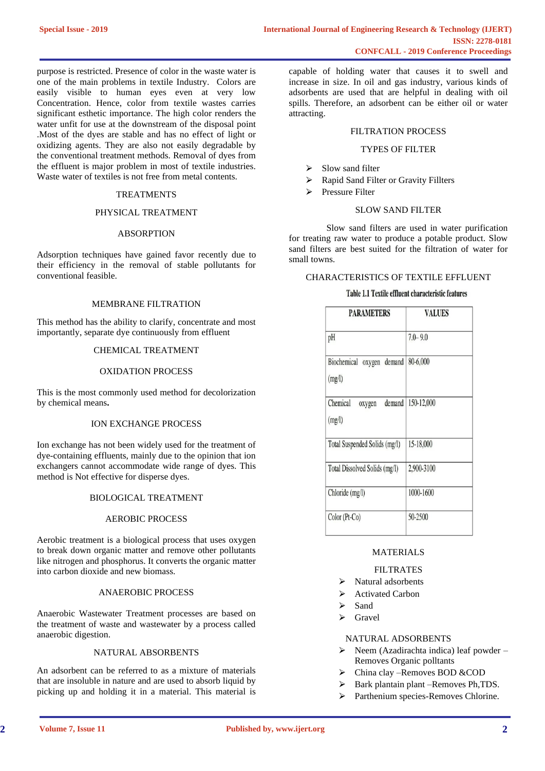purpose is restricted. Presence of color in the waste water is one of the main problems in textile Industry. Colors are easily visible to human eyes even at very low Concentration. Hence, color from textile wastes carries significant esthetic importance. The high color renders the water unfit for use at the downstream of the disposal point .Most of the dyes are stable and has no effect of light or oxidizing agents. They are also not easily degradable by the conventional treatment methods. Removal of dyes from the effluent is major problem in most of textile industries. Waste water of textiles is not free from metal contents.

# **TREATMENTS**

## PHYSICAL TREATMENT

#### ABSORPTION

Adsorption techniques have gained favor recently due to their efficiency in the removal of stable pollutants for conventional feasible.

#### MEMBRANE FILTRATION

This method has the ability to clarify, concentrate and most importantly, separate dye continuously from effluent

#### CHEMICAL TREATMENT

## OXIDATION PROCESS

This is the most commonly used method for decolorization by chemical means**.**

#### ION EXCHANGE PROCESS

Ion exchange has not been widely used for the treatment of dye-containing effluents, mainly due to the opinion that ion exchangers cannot accommodate wide range of dyes. This method is Not effective for disperse dyes.

# BIOLOGICAL TREATMENT

## AEROBIC PROCESS

Aerobic treatment is a biological process that uses oxygen to break down organic matter and remove other pollutants like nitrogen and phosphorus. It converts the organic matter into carbon dioxide and new biomass.

## ANAEROBIC PROCESS

Anaerobic Wastewater Treatment processes are based on the treatment of waste and wastewater by a process called anaerobic digestion.

## NATURAL ABSORBENTS

An adsorbent can be referred to as a mixture of materials that are insoluble in nature and are used to absorb liquid by picking up and holding it in a material. This material is capable of holding water that causes it to swell and increase in size. In oil and gas industry, various kinds of adsorbents are used that are helpful in dealing with oil spills. Therefore, an adsorbent can be either oil or water attracting.

## FILTRATION PROCESS

#### TYPES OF FILTER

- $\sum$  Slow sand filter
- ⮚ Rapid Sand Filter or Gravity Fillters
- > Pressure Filter

## SLOW SAND FILTER

Slow sand filters are used in water purification for treating raw water to produce a potable product. Slow sand filters are best suited for the filtration of water for small towns.

# CHARACTERISTICS OF TEXTILE EFFLUENT

## Table 1.1 Textile effluent characteristic features

| <b>PARAMETERS</b>                      | <b>VALUES</b> |  |
|----------------------------------------|---------------|--|
| pH                                     | $7.0 - 9.0$   |  |
| Biochemical oxygen demand<br>(mg/l)    | 80-6,000      |  |
| Chemical<br>demand<br>oxygen<br>(mg/l) | 150-12,000    |  |
| Total Suspended Solids (mg/l)          | 15-18,000     |  |
| Total Dissolved Solids (mg/l)          | 2,900-3100    |  |
| Chloride (mg/l)                        | 1000-1600     |  |
| Color (Pt-Co)                          | 50-2500       |  |

# MATERIALS

# FILTRATES

- $\triangleright$  Natural adsorbents
- **►** Activated Carbon
- $\triangleright$  Sand
- $\triangleright$  Gravel

# NATURAL ADSORBENTS

- $\triangleright$  Neem (Azadirachta indica) leaf powder Removes Organic polltants
- $\triangleright$  China clay –Removes BOD &COD
- $\triangleright$  Bark plantain plant –Removes Ph, TDS.
- ⮚ Parthenium species-Removes Chlorine.

**2**